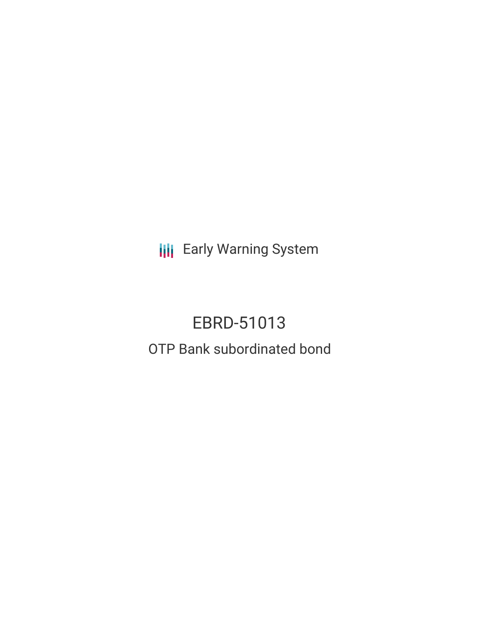**III** Early Warning System

# EBRD-51013 OTP Bank subordinated bond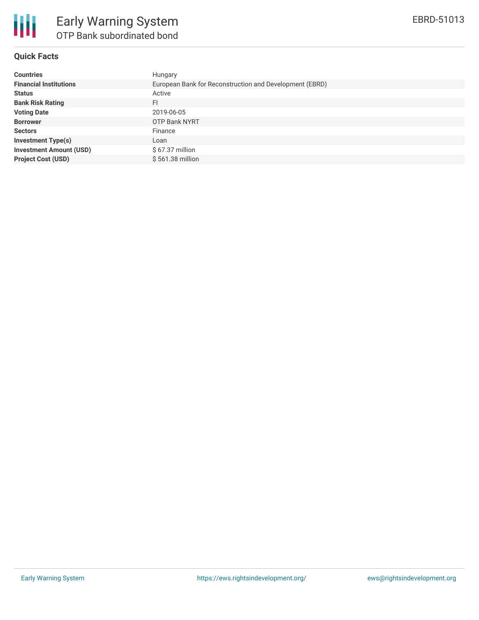

## **Quick Facts**

| <b>Countries</b>               | Hungary                                                 |
|--------------------------------|---------------------------------------------------------|
| <b>Financial Institutions</b>  | European Bank for Reconstruction and Development (EBRD) |
| <b>Status</b>                  | Active                                                  |
| <b>Bank Risk Rating</b>        | FI                                                      |
| <b>Voting Date</b>             | 2019-06-05                                              |
| <b>Borrower</b>                | <b>OTP Bank NYRT</b>                                    |
| <b>Sectors</b>                 | Finance                                                 |
| <b>Investment Type(s)</b>      | Loan                                                    |
| <b>Investment Amount (USD)</b> | $$67.37$ million                                        |
| <b>Project Cost (USD)</b>      | \$561.38 million                                        |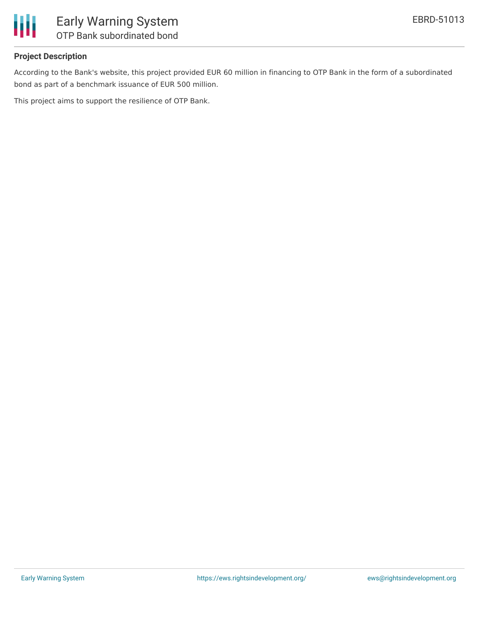

## **Project Description**

According to the Bank's website, this project provided EUR 60 million in financing to OTP Bank in the form of a subordinated bond as part of a benchmark issuance of EUR 500 million.

This project aims to support the resilience of OTP Bank.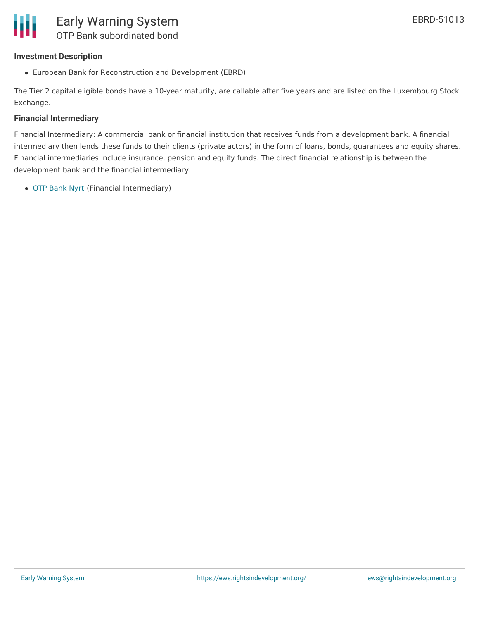#### **Investment Description**

European Bank for Reconstruction and Development (EBRD)

The Tier 2 capital eligible bonds have a 10-year maturity, are callable after five years and are listed on the Luxembourg Stock Exchange.

#### **Financial Intermediary**

Financial Intermediary: A commercial bank or financial institution that receives funds from a development bank. A financial intermediary then lends these funds to their clients (private actors) in the form of loans, bonds, guarantees and equity shares. Financial intermediaries include insurance, pension and equity funds. The direct financial relationship is between the development bank and the financial intermediary.

OTP [Bank](file:///actor/2228/) Nyrt (Financial Intermediary)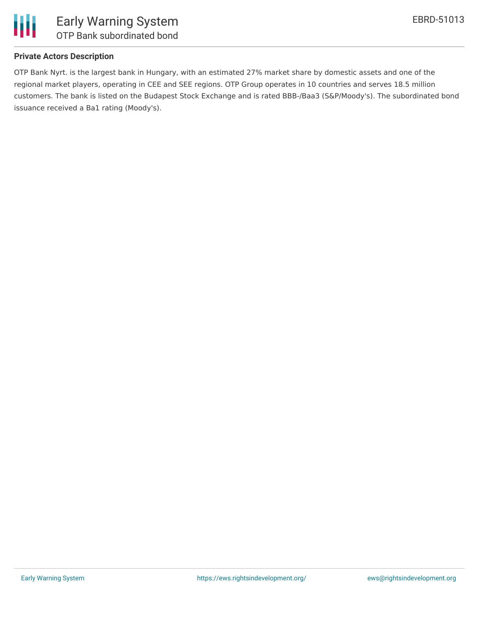

## **Private Actors Description**

OTP Bank Nyrt. is the largest bank in Hungary, with an estimated 27% market share by domestic assets and one of the regional market players, operating in CEE and SEE regions. OTP Group operates in 10 countries and serves 18.5 million customers. The bank is listed on the Budapest Stock Exchange and is rated BBB-/Baa3 (S&P/Moody's). The subordinated bond issuance received a Ba1 rating (Moody's).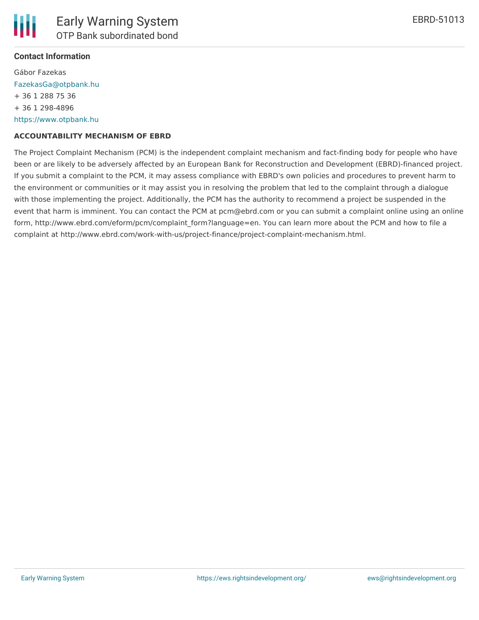#### **Contact Information**

Gábor Fazekas [FazekasGa@otpbank.hu](mailto:FazekasGa@otpbank.hu) + 36 1 288 75 36 + 36 1 298-4896 [https://www.otpbank.hu](https://www.otpbank.hu/)

#### **ACCOUNTABILITY MECHANISM OF EBRD**

The Project Complaint Mechanism (PCM) is the independent complaint mechanism and fact-finding body for people who have been or are likely to be adversely affected by an European Bank for Reconstruction and Development (EBRD)-financed project. If you submit a complaint to the PCM, it may assess compliance with EBRD's own policies and procedures to prevent harm to the environment or communities or it may assist you in resolving the problem that led to the complaint through a dialogue with those implementing the project. Additionally, the PCM has the authority to recommend a project be suspended in the event that harm is imminent. You can contact the PCM at pcm@ebrd.com or you can submit a complaint online using an online form, http://www.ebrd.com/eform/pcm/complaint\_form?language=en. You can learn more about the PCM and how to file a complaint at http://www.ebrd.com/work-with-us/project-finance/project-complaint-mechanism.html.